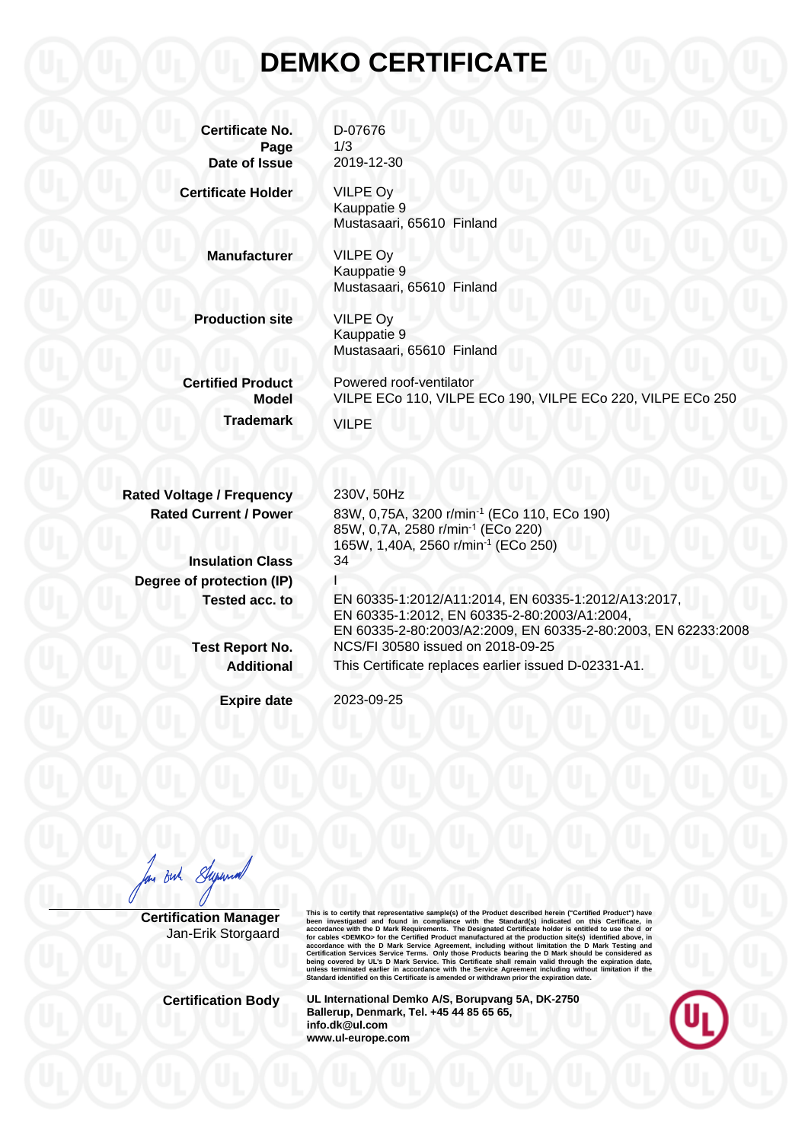## **DEMKO CERTIFICATE**

**Certificate No.** D-07676 **Page** 1/3 **Date of Issue** 2019-12-30

VILPE Oy Kauppatie 9

**Certificate Holder**

**Manufacturer**

VILPE Oy Kauppatie 9 Mustasaari, 65610 Finland

Mustasaari, 65610 Finland

**Production site**

VILPE Oy Kauppatie 9 Mustasaari, 65610 Finland

**Certified Product Model Trademark**

Powered roof-ventilator VILPE ECo 110, VILPE ECo 190, VILPE ECo 220, VILPE ECo 250 VILPE

83W, 0,75A, 3200 r/min-1 (ECo 110, ECo 190)

EN 60335-1:2012/A11:2014, EN 60335-1:2012/A13:2017,

EN 60335-2-80:2003/A2:2009, EN 60335-2-80:2003, EN 62233:2008

EN 60335-1:2012, EN 60335-2-80:2003/A1:2004,

This Certificate replaces earlier issued D-02331-A1.

85W, 0,7A, 2580 r/min-1 (ECo 220) 165W, 1,40A, 2560 r/min-1 (ECo 250)

NCS/FI 30580 issued on 2018-09-25

**Rated Voltage / Frequency Rated Current / Power**

**Insulation Class Degree of protection (IP) Tested acc. to**

> **Test Report No. Additional**

> > **Expire date**

2023-09-25

230V, 50Hz

34 I

in But Superin

**Certification Manager** Jan-Erik Storgaard This is to certify that representative sample(s) of the Product described herein ("Certifical Product") have<br>been investigated and found in compliance with the Standard(s) indicated on this Certificate, in<br>accordance with

**Certification Body UL International Demko A/S, Borupvang 5A, DK-2750 Ballerup, Denmark, Tel. +45 44 85 65 65, info.dk@ul.com www.ul-europe.com**

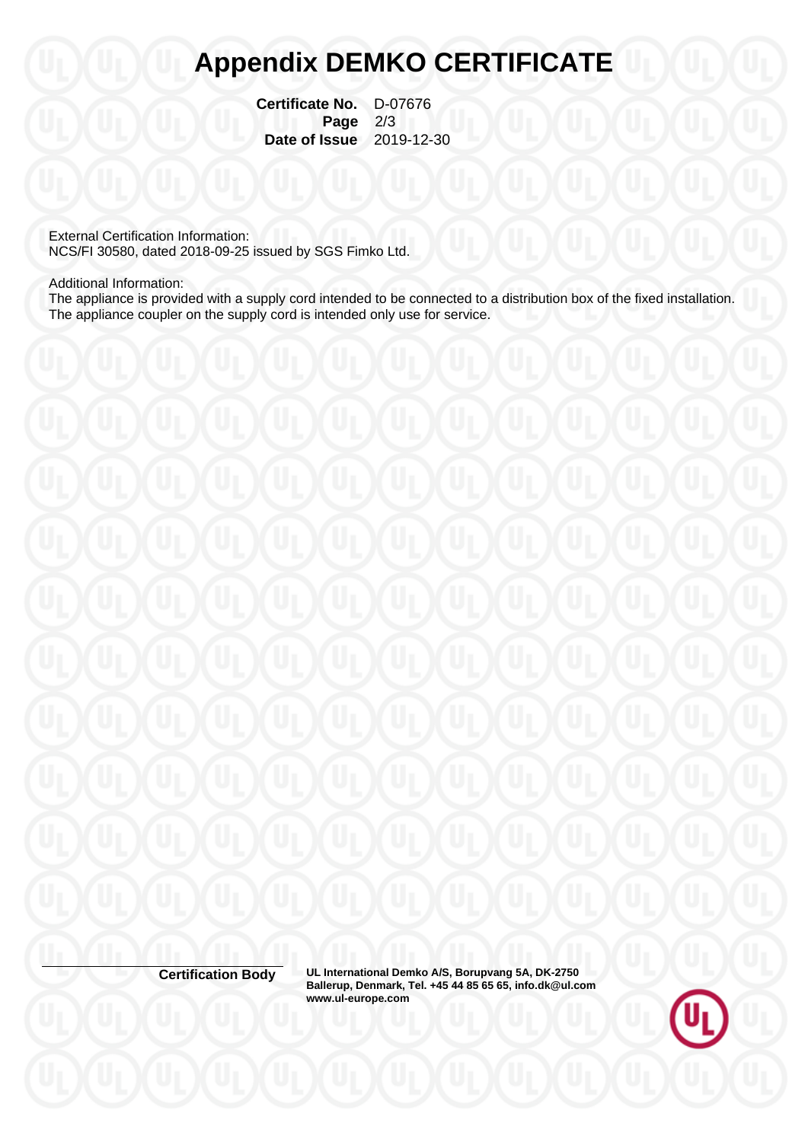## **Appendix DEMKO CERTIFICATE**

**Certificate No.** D-07676 **Page** 2/3  **Date of Issue** 2019-12-30

External Certification Information: NCS/FI 30580, dated 2018-09-25 issued by SGS Fimko Ltd.

Additional Information:

The appliance is provided with a supply cord intended to be connected to a distribution box of the fixed installation. The appliance coupler on the supply cord is intended only use for service.

**Certification Body UL International Demko A/S, Borupvang 5A, DK-2750 Ballerup, Denmark, Tel. +45 44 85 65 65, info.dk@ul.com www.ul-europe.com**